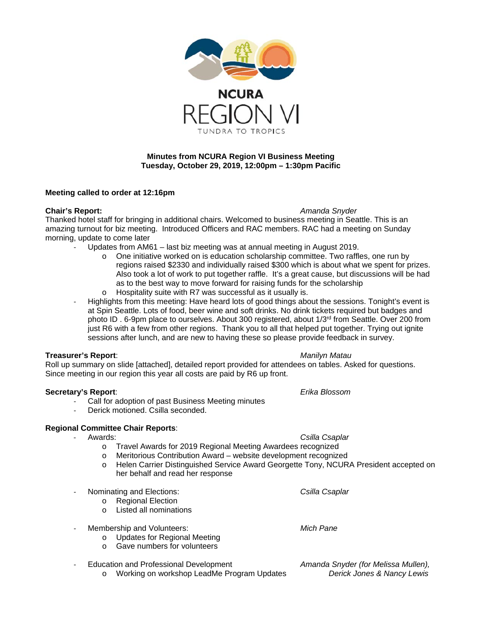

## **Minutes from NCURA Region VI Business Meeting Tuesday, October 29, 2019, 12:00pm – 1:30pm Pacific**

## **Meeting called to order at 12:16pm**

**Chair's Report:** *Amanda Snyder*

Thanked hotel staff for bringing in additional chairs. Welcomed to business meeting in Seattle. This is an amazing turnout for biz meeting. Introduced Officers and RAC members. RAC had a meeting on Sunday morning, update to come later

- Updates from AM61 last biz meeting was at annual meeting in August 2019.
	- o One initiative worked on is education scholarship committee. Two raffles, one run by regions raised \$2330 and individually raised \$300 which is about what we spent for prizes. Also took a lot of work to put together raffle. It's a great cause, but discussions will be had as to the best way to move forward for raising funds for the scholarship
	- o Hospitality suite with R7 was successful as it usually is.
- Highlights from this meeting: Have heard lots of good things about the sessions. Tonight's event is at Spin Seattle. Lots of food, beer wine and soft drinks. No drink tickets required but badges and photo ID . 6-9pm place to ourselves. About 300 registered, about 1/3rd from Seattle. Over 200 from just R6 with a few from other regions. Thank you to all that helped put together. Trying out ignite sessions after lunch, and are new to having these so please provide feedback in survey.

## **Treasurer's Report**: *Manilyn Matau*

Roll up summary on slide [attached], detailed report provided for attendees on tables. Asked for questions. Since meeting in our region this year all costs are paid by R6 up front.

## **Secretary's Report**: *Erika Blossom*

- Call for adoption of past Business Meeting minutes
- Derick motioned. Csilla seconded.

## **Regional Committee Chair Reports**:

- 
- Csilla Csaplar o Travel Awards for 2019 Regional Meeting Awardees recognized
	- o Meritorious Contribution Award website development recognized
	- o Helen Carrier Distinguished Service Award Georgette Tony, NCURA President accepted on her behalf and read her response

- Nominating and Elections: *Csilla Csaplar*

- o Regional Election
- o Listed all nominations
- Membership and Volunteers: *Mich Pane*
	- o Updates for Regional Meeting
	- o Gave numbers for volunteers
- Education and Professional Development *Amanda Snyder (for Melissa Mullen),*
	- o Working on workshop LeadMe Program Updates *Derick Jones & Nancy Lewis*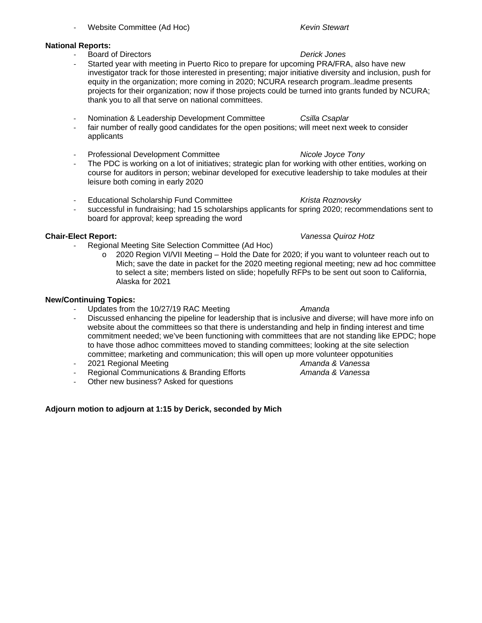- **National Reports:**
	- Board of Directors *Derick Jones*
	- Started year with meeting in Puerto Rico to prepare for upcoming PRA/FRA, also have new investigator track for those interested in presenting; major initiative diversity and inclusion, push for equity in the organization; more coming in 2020; NCURA research program..leadme presents projects for their organization; now if those projects could be turned into grants funded by NCURA; thank you to all that serve on national committees.
	- Nomination & Leadership Development Committee *Csilla Csaplar*
	- fair number of really good candidates for the open positions; will meet next week to consider applicants

- Website Committee (Ad Hoc) *Kevin Stewart*

- Professional Development Committee *Nicole Joyce Tony*
- The PDC is working on a lot of initiatives; strategic plan for working with other entities, working on course for auditors in person; webinar developed for executive leadership to take modules at their leisure both coming in early 2020
- Educational Scholarship Fund Committee *Krista Roznovsky*
- successful in fundraising; had 15 scholarships applicants for spring 2020; recommendations sent to board for approval; keep spreading the word

- Regional Meeting Site Selection Committee (Ad Hoc)
	- $\circ$  2020 Region VI/VII Meeting Hold the Date for 2020; if you want to volunteer reach out to Mich; save the date in packet for the 2020 meeting regional meeting; new ad hoc committee to select a site; members listed on slide; hopefully RFPs to be sent out soon to California, Alaska for 2021

### **New/Continuing Topics:**

- Updates from the 10/27/19 RAC Meeting *Amanda*
- Discussed enhancing the pipeline for leadership that is inclusive and diverse; will have more info on website about the committees so that there is understanding and help in finding interest and time commitment needed; we've been functioning with committees that are not standing like EPDC; hope to have those adhoc committees moved to standing committees; looking at the site selection committee; marketing and communication; this will open up more volunteer oppotunities
- 
- **Regional Communications & Branding Efforts**
- Other new business? Asked for questions

## **Adjourn motion to adjourn at 1:15 by Derick, seconded by Mich**

## **Chair-Elect Report:** *Vanessa Quiroz Hotz*

- 2021 Regional Meeting *Amanda & Vanessa*